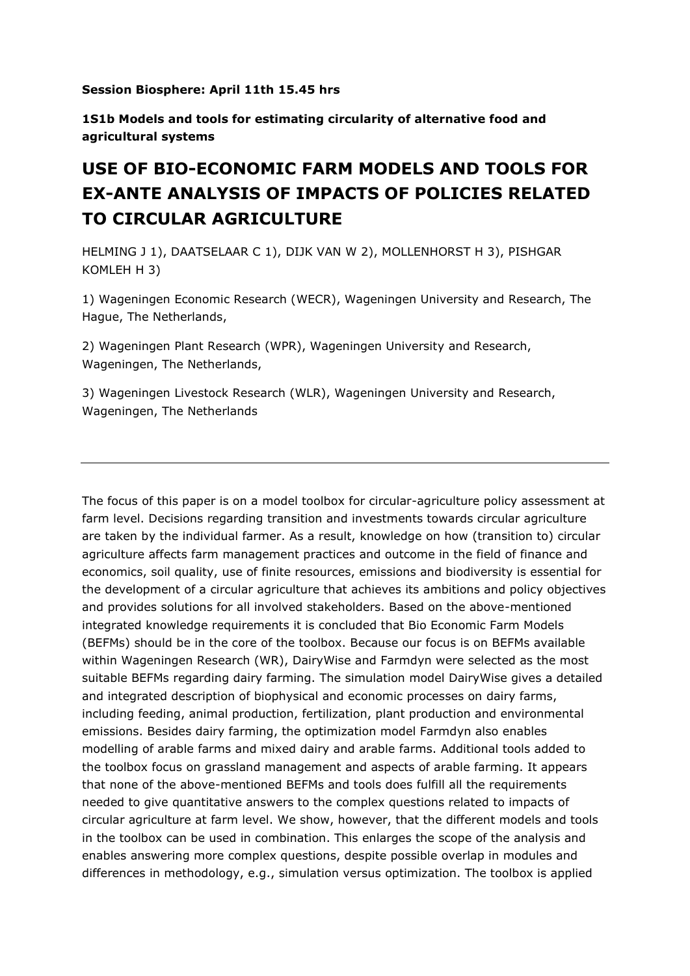**Session Biosphere: April 11th 15.45 hrs**

**1S1b Models and tools for estimating circularity of alternative food and agricultural systems**

## **USE OF BIO-ECONOMIC FARM MODELS AND TOOLS FOR EX-ANTE ANALYSIS OF IMPACTS OF POLICIES RELATED TO CIRCULAR AGRICULTURE**

HELMING J 1), DAATSELAAR C 1), DIJK VAN W 2), MOLLENHORST H 3), PISHGAR KOMLEH H 3)

1) Wageningen Economic Research (WECR), Wageningen University and Research, The Hague, The Netherlands,

2) Wageningen Plant Research (WPR), Wageningen University and Research, Wageningen, The Netherlands,

3) Wageningen Livestock Research (WLR), Wageningen University and Research, Wageningen, The Netherlands

The focus of this paper is on a model toolbox for circular-agriculture policy assessment at farm level. Decisions regarding transition and investments towards circular agriculture are taken by the individual farmer. As a result, knowledge on how (transition to) circular agriculture affects farm management practices and outcome in the field of finance and economics, soil quality, use of finite resources, emissions and biodiversity is essential for the development of a circular agriculture that achieves its ambitions and policy objectives and provides solutions for all involved stakeholders. Based on the above-mentioned integrated knowledge requirements it is concluded that Bio Economic Farm Models (BEFMs) should be in the core of the toolbox. Because our focus is on BEFMs available within Wageningen Research (WR), DairyWise and Farmdyn were selected as the most suitable BEFMs regarding dairy farming. The simulation model DairyWise gives a detailed and integrated description of biophysical and economic processes on dairy farms, including feeding, animal production, fertilization, plant production and environmental emissions. Besides dairy farming, the optimization model Farmdyn also enables modelling of arable farms and mixed dairy and arable farms. Additional tools added to the toolbox focus on grassland management and aspects of arable farming. It appears that none of the above-mentioned BEFMs and tools does fulfill all the requirements needed to give quantitative answers to the complex questions related to impacts of circular agriculture at farm level. We show, however, that the different models and tools in the toolbox can be used in combination. This enlarges the scope of the analysis and enables answering more complex questions, despite possible overlap in modules and differences in methodology, e.g., simulation versus optimization. The toolbox is applied